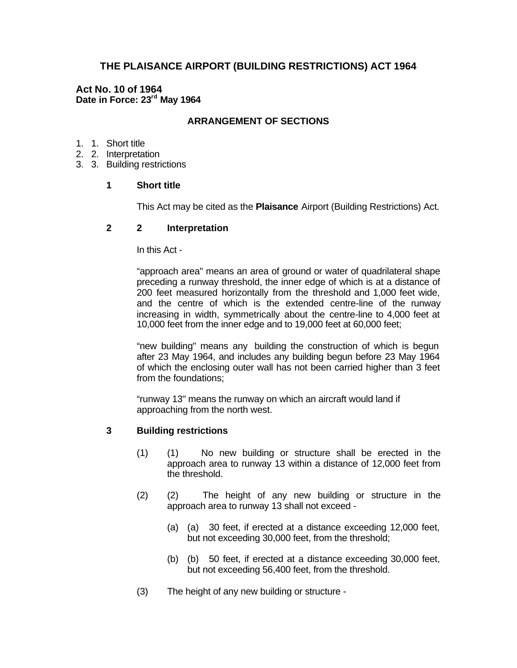# **THE PLAISANCE AIRPORT (BUILDING RESTRICTIONS) ACT 1964**

# **Act No. 10 of 1964 Date in Force: 23rd May 1964**

# **ARRANGEMENT OF SECTIONS**

- 1. 1. Short title
- 2. 2. Interpretation
- 3. 3. Building restrictions

## **1 Short title**

This Act may be cited as the **Plaisance** Airport (Building Restrictions) Act.

### **2 2 Interpretation**

In this Act -

"approach area" means an area of ground or water of quadrilateral shape preceding a runway threshold, the inner edge of which is at a distance of 200 feet measured horizontally from the threshold and 1,000 feet wide, and the centre of which is the extended centre-line of the runway increasing in width, symmetrically about the centre-line to 4,000 feet at 10,000 feet from the inner edge and to 19,000 feet at 60,000 feet;

"new building" means any building the construction of which is begun after 23 May 1964, and includes any building begun before 23 May 1964 of which the enclosing outer wall has not been carried higher than 3 feet from the foundations;

"runway 13" means the runway on which an aircraft would land if approaching from the north west.

#### **3 Building restrictions**

- (1) (1) No new building or structure shall be erected in the approach area to runway 13 within a distance of 12,000 feet from the threshold.
- (2) (2) The height of any new building or structure in the approach area to runway 13 shall not exceed -
	- (a) (a) 30 feet, if erected at a distance exceeding 12,000 feet, but not exceeding 30,000 feet, from the threshold;
	- (b) (b) 50 feet, if erected at a distance exceeding 30,000 feet, but not exceeding 56,400 feet, from the threshold.
- (3) The height of any new building or structure -